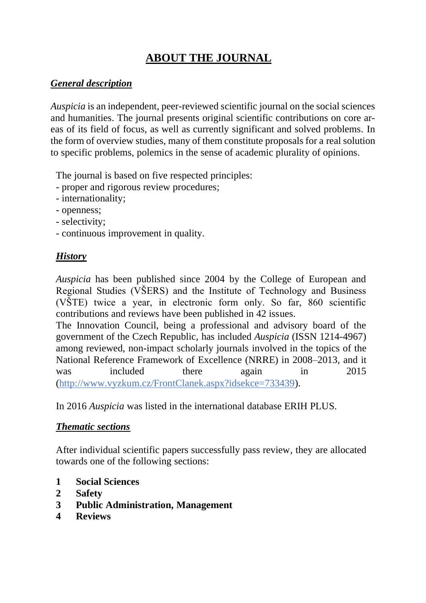# **ABOUT THE JOURNAL**

#### *General description*

*Auspicia* is an independent, peer-reviewed scientific journal on the social sciences and humanities. The journal presents original scientific contributions on core areas of its field of focus, as well as currently significant and solved problems. In the form of overview studies, many of them constitute proposals for a real solution to specific problems, polemics in the sense of academic plurality of opinions.

The journal is based on five respected principles:

- proper and rigorous review procedures;
- internationality;
- openness;
- selectivity;
- continuous improvement in quality.

### *History*

*Auspicia* has been published since 2004 by the College of European and Regional Studies (VŠERS) and the Institute of Technology and Business (VŠTE) twice a year, in electronic form only. So far, 860 scientific contributions and reviews have been published in 42 issues.

The Innovation Council, being a professional and advisory board of the government of the Czech Republic, has included *Auspicia* (ISSN 1214-4967) among reviewed, non-impact scholarly journals involved in the topics of the National Reference Framework of Excellence (NRRE) in 2008–2013, and it was included there again in 2015 [\(http://www.vyzkum.cz/FrontClanek.aspx?idsekce=733439\)](http://www.vyzkum.cz/FrontClanek.aspx?idsekce=733439).

In 2016 *Auspicia* was listed in the international database ERIH PLUS.

### *Thematic sections*

After individual scientific papers successfully pass review, they are allocated towards one of the following sections:

- **1 Social Sciences**
- **2 Safety**
- **3 Public Administration, Management**
- **4 Reviews**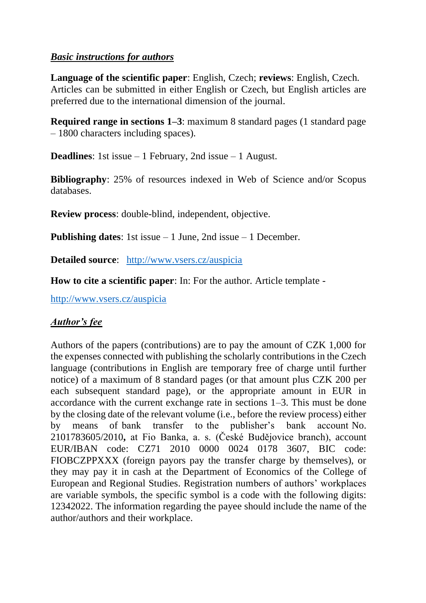#### *Basic instructions for authors*

**Language of the scientific paper**: English, Czech; **reviews**: English, Czech. Articles can be submitted in either English or Czech, but English articles are preferred due to the international dimension of the journal.

**Required range in sections 1–3**: maximum 8 standard pages (1 standard page) – 1800 characters including spaces).

**Deadlines**: 1st issue – 1 February, 2nd issue – 1 August.

**Bibliography**: 25% of resources indexed in Web of Science and/or Scopus databases.

**Review process**: double-blind, independent, objective.

**Publishing dates**: 1st issue – 1 June, 2nd issue – 1 December.

**Detailed source**: <http://www.vsers.cz/auspicia>

**How to cite a scientific paper**: In: For the author. Article template -

<http://www.vsers.cz/auspicia>

## *Author's fee*

Authors of the papers (contributions) are to pay the amount of CZK 1,000 for the expenses connected with publishing the scholarly contributions in the Czech language (contributions in English are temporary free of charge until further notice) of a maximum of 8 standard pages (or that amount plus CZK 200 per each subsequent standard page), or the appropriate amount in EUR in accordance with the current exchange rate in sections 1–3. This must be done by the closing date of the relevant volume (i.e., before the review process) either by means of bank transfer to the publisher's bank account No. 2101783605/2010**,** at Fio Banka, a. s. (České Budějovice branch), account EUR/IBAN code: CZ71 2010 0000 0024 0178 3607, BIC code: FIOBCZPPXXX (foreign payors pay the transfer charge by themselves), or they may pay it in cash at the Department of Economics of the College of European and Regional Studies. Registration numbers of authors' workplaces are variable symbols, the specific symbol is a code with the following digits: 12342022. The information regarding the payee should include the name of the author/authors and their workplace.